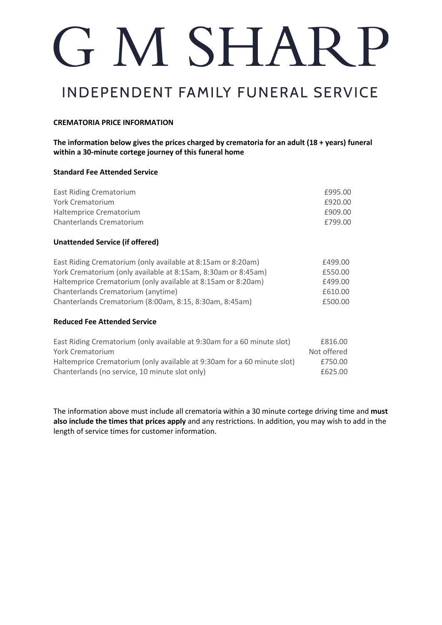# G M SHARP

### **INDEPENDENT FAMILY FUNERAL SERVICE**

### **CREMATORIA PRICE INFORMATION**

**The information below gives the prices charged by crematoria for an adult (18 + years) funeral within a 30-minute cortege journey of this funeral home**

#### **Standard Fee Attended Service**

| <b>East Riding Crematorium</b><br><b>York Crematorium</b>               | £995.00<br>£920.00 |
|-------------------------------------------------------------------------|--------------------|
| Haltemprice Crematorium                                                 | £909.00            |
| Chanterlands Crematorium                                                | £799.00            |
| <b>Unattended Service (if offered)</b>                                  |                    |
| East Riding Crematorium (only available at 8:15am or 8:20am)            | £499.00            |
| York Crematorium (only available at 8:15am, 8:30am or 8:45am)           | £550.00            |
| Haltemprice Crematorium (only available at 8:15am or 8:20am)            | £499.00            |
| Chanterlands Crematorium (anytime)                                      | £610.00            |
| Chanterlands Crematorium (8:00am, 8:15, 8:30am, 8:45am)                 | £500.00            |
| <b>Reduced Fee Attended Service</b>                                     |                    |
| East Riding Crematorium (only available at 9:30am for a 60 minute slot) | £816.00            |
| <b>York Crematorium</b>                                                 | Not offered        |
| Haltemprice Crematorium (only available at 9:30am for a 60 minute slot) | £750.00            |
| Chanterlands (no service, 10 minute slot only)                          | £625.00            |

The information above must include all crematoria within a 30 minute cortege driving time and **must also include the times that prices apply** and any restrictions. In addition, you may wish to add in the length of service times for customer information.